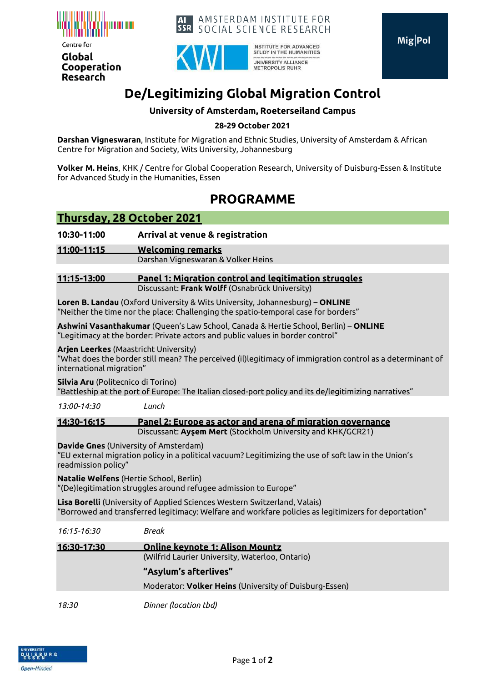

Centre for Global Cooperation **Research** 





INSTITUTE FOR ADVANCED STUDY IN THE HUMANITIES UNIVERSITY ALLIANCE METROPOLIS RUHR

# **De/Legitimizing Global Migration Control**

### **University of Amsterdam, Roeterseiland Campus**

#### **28-29 October 2021**

**Darshan Vigneswaran**, Institute for Migration and Ethnic Studies, University of Amsterdam & African Centre for Migration and Society, Wits University, Johannesburg

**Volker M. Heins**, KHK / Centre for Global Cooperation Research, University of Duisburg-Essen & Institute for Advanced Study in the Humanities, Essen

## **PROGRAMME**

### **Thursday, 28 October 2021**

**10:30-11:00 Arrival at venue & registration** 

**11:00-11:15 Welcoming remarks**

Darshan Vigneswaran & Volker Heins

#### **11:15-13:00 Panel 1: Migration control and legitimation struggles** Discussant: **Frank Wolff** (Osnabrück University)

**Loren B. Landau** (Oxford University & Wits University, Johannesburg) – **ONLINE** "Neither the time nor the place: Challenging the spatio-temporal case for borders"

**Ashwini Vasanthakumar** (Queen's Law School, Canada & Hertie School, Berlin) – **ONLINE** "Legitimacy at the border: Private actors and public values in border control"

#### **Arjen Leerkes** (Maastricht University)

"What does the border still mean? The perceived (il)legitimacy of immigration control as a determinant of international migration"

**Silvia Aru** (Politecnico di Torino)

"Battleship at the port of Europe: The Italian closed-port policy and its de/legitimizing narratives"

*13:00-14:30 Lunch* 

**14:30-16:15 Panel 2: Europe as actor and arena of migration governance** Discussant: **Ayşem Mert** (Stockholm University and KHK/GCR21)

**Davide Gnes** (University of Amsterdam)

"EU external migration policy in a political vacuum? Legitimizing the use of soft law in the Union's readmission policy"

**Natalie Welfens** (Hertie School, Berlin) "(De)legitimation struggles around refugee admission to Europe"

**Lisa Borelli** (University of Applied Sciences Western Switzerland, Valais) "Borrowed and transferred legitimacy: Welfare and workfare policies as legitimizers for deportation"

| 16:15-16:30 | Break                                                                                     |
|-------------|-------------------------------------------------------------------------------------------|
| 16:30-17:30 | <b>Online keynote 1: Alison Mountz</b><br>(Wilfrid Laurier University, Waterloo, Ontario) |
|             | "Asylum's afterlives"                                                                     |
|             | Moderator: Volker Heins (University of Duisburg-Essen)                                    |
| 18:30       | Dinner (location tbd)                                                                     |